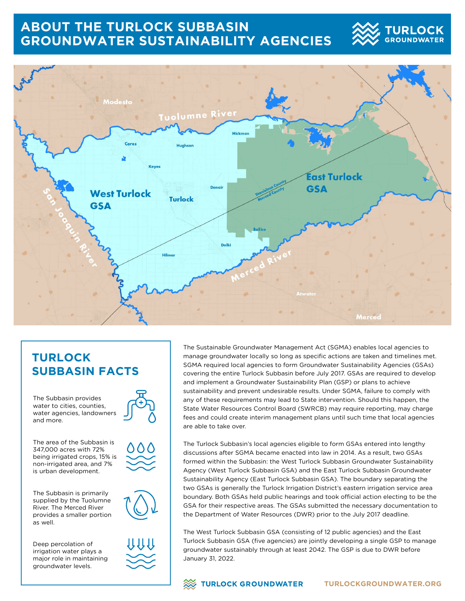## **ABOUT THE TURLOCK SUBBASIN GROUNDWATER SUSTAINABILITY AGENCIES**





## **TURLOCK SUBBASIN FACTS**

The Subbasin provides water to cities, counties, water agencies, landowners and more.

The area of the Subbasin is 347,000 acres with 72% being irrigated crops, 15% is non-irrigated area, and 7% is urban development.

The Subbasin is primarily supplied by the Tuolumne River. The Merced River provides a smaller portion as well.

Deep percolation of irrigation water plays a major role in maintaining groundwater levels.



The Sustainable Groundwater Management Act (SGMA) enables local agencies to manage groundwater locally so long as specific actions are taken and timelines met. SGMA required local agencies to form Groundwater Sustainability Agencies (GSAs) covering the entire Turlock Subbasin before July 2017. GSAs are required to develop and implement a Groundwater Sustainability Plan (GSP) or plans to achieve sustainability and prevent undesirable results. Under SGMA, failure to comply with any of these requirements may lead to State intervention. Should this happen, the State Water Resources Control Board (SWRCB) may require reporting, may charge fees and could create interim management plans until such time that local agencies are able to take over.

The Turlock Subbasin's local agencies eligible to form GSAs entered into lengthy discussions after SGMA became enacted into law in 2014. As a result, two GSAs formed within the Subbasin: the West Turlock Subbasin Groundwater Sustainability Agency (West Turlock Subbasin GSA) and the East Turlock Subbasin Groundwater Sustainability Agency (East Turlock Subbasin GSA). The boundary separating the two GSAs is generally the Turlock Irrigation District's eastern irrigation service area boundary. Both GSAs held public hearings and took official action electing to be the GSA for their respective areas. The GSAs submitted the necessary documentation to the Department of Water Resources (DWR) prior to the July 2017 deadline.

The West Turlock Subbasin GSA (consisting of 12 public agencies) and the East Turlock Subbasin GSA (five agencies) are jointly developing a single GSP to manage groundwater sustainably through at least 2042. The GSP is due to DWR before January 31, 2022.